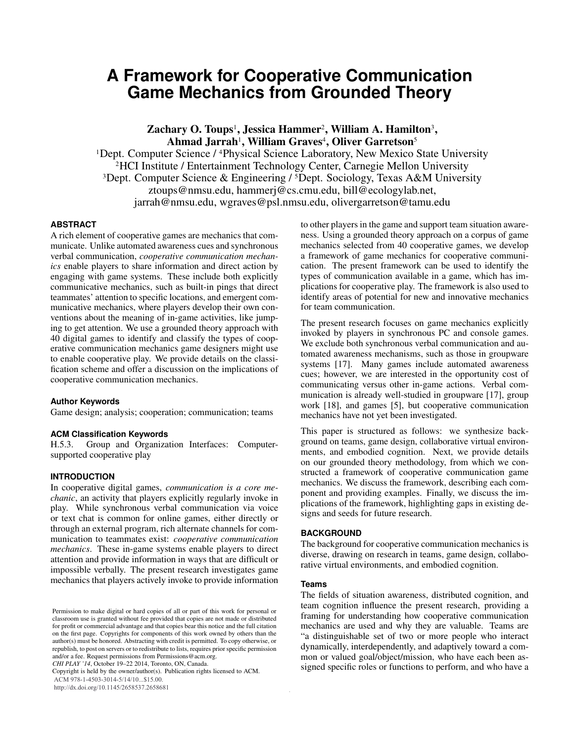# **A Framework for Cooperative Communication Game Mechanics from Grounded Theory**

Zachary O. Toups<sup>1</sup>, Jessica Hammer<sup>2</sup>, William A. Hamilton<sup>3</sup>,  $\mathbf A$ hmad Jarrah $^1$ , William Graves $^4$ , Oliver Garretson $^5$ 

<sup>1</sup>Dept. Computer Science / <sup>4</sup>Physical Science Laboratory, New Mexico State University <sup>2</sup>HCI Institute / Entertainment Technology Center, Carnegie Mellon University <sup>3</sup>Dept. Computer Science & Engineering / <sup>5</sup>Dept. Sociology, Texas A&M University ztoups@nmsu.edu, hammerj@cs.cmu.edu, bill@ecologylab.net, jarrah@nmsu.edu, wgraves@psl.nmsu.edu, olivergarretson@tamu.edu

### **ABSTRACT**

A rich element of cooperative games are mechanics that communicate. Unlike automated awareness cues and synchronous verbal communication, *cooperative communication mechanics* enable players to share information and direct action by engaging with game systems. These include both explicitly communicative mechanics, such as built-in pings that direct teammates' attention to specific locations, and emergent communicative mechanics, where players develop their own conventions about the meaning of in-game activities, like jumping to get attention. We use a grounded theory approach with 40 digital games to identify and classify the types of cooperative communication mechanics game designers might use to enable cooperative play. We provide details on the classification scheme and offer a discussion on the implications of cooperative communication mechanics.

#### **Author Keywords**

Game design; analysis; cooperation; communication; teams

#### **ACM Classification Keywords**

H.5.3. Group and Organization Interfaces: Computersupported cooperative play

#### **INTRODUCTION**

In cooperative digital games, *communication is a core mechanic*, an activity that players explicitly regularly invoke in play. While synchronous verbal communication via voice or text chat is common for online games, either directly or through an external program, rich alternate channels for communication to teammates exist: *cooperative communication mechanics*. These in-game systems enable players to direct attention and provide information in ways that are difficult or impossible verbally. The present research investigates game mechanics that players actively invoke to provide information

Copyright is held by the owner/author(s). Publication rights licensed to ACM.

ACM 978-1-4503-3014-5/14/10...\$15.00.

http://dx.doi.org/10.1145/2658537.2658681

to other players in the game and support team situation awareness. Using a grounded theory approach on a corpus of game mechanics selected from 40 cooperative games, we develop a framework of game mechanics for cooperative communication. The present framework can be used to identify the types of communication available in a game, which has implications for cooperative play. The framework is also used to identify areas of potential for new and innovative mechanics for team communication.

The present research focuses on game mechanics explicitly invoked by players in synchronous PC and console games. We exclude both synchronous verbal communication and automated awareness mechanisms, such as those in groupware systems [\[17\]](#page-9-0). Many games include automated awareness cues; however, we are interested in the opportunity cost of communicating versus other in-game actions. Verbal communication is already well-studied in groupware [\[17\]](#page-9-0), group work [\[18\]](#page-9-1), and games [\[5\]](#page-8-0), but cooperative communication mechanics have not yet been investigated.

This paper is structured as follows: we synthesize background on teams, game design, collaborative virtual environments, and embodied cognition. Next, we provide details on our grounded theory methodology, from which we constructed a framework of cooperative communication game mechanics. We discuss the framework, describing each component and providing examples. Finally, we discuss the implications of the framework, highlighting gaps in existing designs and seeds for future research.

#### **BACKGROUND**

The background for cooperative communication mechanics is diverse, drawing on research in teams, game design, collaborative virtual environments, and embodied cognition.

#### **Teams**

The fields of situation awareness, distributed cognition, and team cognition influence the present research, providing a framing for understanding how cooperative communication mechanics are used and why they are valuable. Teams are "a distinguishable set of two or more people who interact dynamically, interdependently, and adaptively toward a common or valued goal/object/mission, who have each been assigned specific roles or functions to perform, and who have a

Permission to make digital or hard copies of all or part of this work for personal or classroom use is granted without fee provided that copies are not made or distributed for profit or commercial advantage and that copies bear this notice and the full citation on the first page. Copyrights for components of this work owned by others than the author(s) must be honored. Abstracting with credit is permitted. To copy otherwise, or republish, to post on servers or to redistribute to lists, requires prior specific permission and/or a fee. Request permissions from Permissions@acm.org. *CHI PLAY '14*, October 19–22 2014, Toronto, ON, Canada.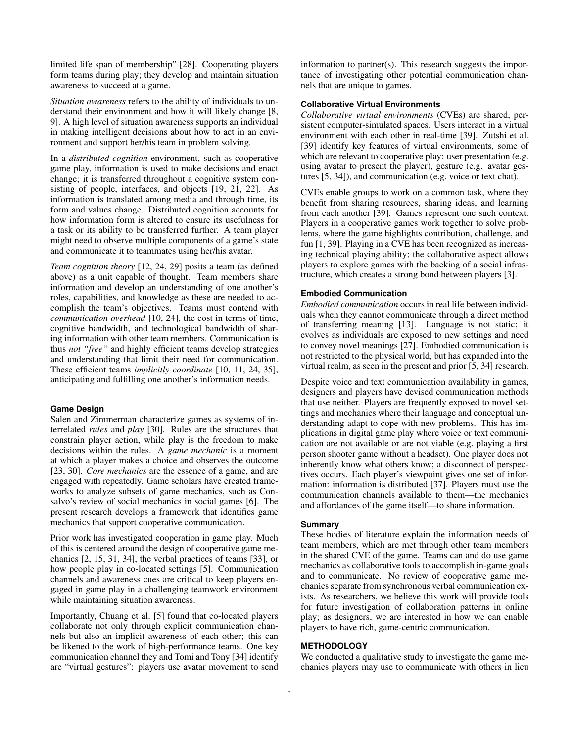limited life span of membership" [\[28\]](#page-9-2). Cooperating players form teams during play; they develop and maintain situation awareness to succeed at a game.

*Situation awareness* refers to the ability of individuals to understand their environment and how it will likely change [\[8,](#page-8-1) [9\]](#page-8-2). A high level of situation awareness supports an individual in making intelligent decisions about how to act in an environment and support her/his team in problem solving.

In a *distributed cognition* environment, such as cooperative game play, information is used to make decisions and enact change; it is transferred throughout a cognitive system consisting of people, interfaces, and objects [\[19,](#page-9-3) [21,](#page-9-4) [22\]](#page-9-5). As information is translated among media and through time, its form and values change. Distributed cognition accounts for how information form is altered to ensure its usefulness for a task or its ability to be transferred further. A team player might need to observe multiple components of a game's state and communicate it to teammates using her/his avatar.

*Team cognition theory* [\[12,](#page-9-6) [24,](#page-9-7) [29\]](#page-9-8) posits a team (as defined above) as a unit capable of thought. Team members share information and develop an understanding of one another's roles, capabilities, and knowledge as these are needed to accomplish the team's objectives. Teams must contend with *communication overhead* [\[10,](#page-8-3) [24\]](#page-9-7), the cost in terms of time, cognitive bandwidth, and technological bandwidth of sharing information with other team members. Communication is thus *not "free"* and highly efficient teams develop strategies and understanding that limit their need for communication. These efficient teams *implicitly coordinate* [\[10,](#page-8-3) [11,](#page-8-4) [24,](#page-9-7) [35\]](#page-9-9), anticipating and fulfilling one another's information needs.

# **Game Design**

Salen and Zimmerman characterize games as systems of interrelated *rules* and *play* [\[30\]](#page-9-10). Rules are the structures that constrain player action, while play is the freedom to make decisions within the rules. A *game mechanic* is a moment at which a player makes a choice and observes the outcome [\[23,](#page-9-11) [30\]](#page-9-10). *Core mechanics* are the essence of a game, and are engaged with repeatedly. Game scholars have created frameworks to analyze subsets of game mechanics, such as Consalvo's review of social mechanics in social games [\[6\]](#page-8-5). The present research develops a framework that identifies game mechanics that support cooperative communication.

Prior work has investigated cooperation in game play. Much of this is centered around the design of cooperative game mechanics [\[2,](#page-8-6) [15,](#page-9-12) [31,](#page-9-13) [34\]](#page-9-14), the verbal practices of teams [\[33\]](#page-9-15), or how people play in co-located settings [\[5\]](#page-8-0). Communication channels and awareness cues are critical to keep players engaged in game play in a challenging teamwork environment while maintaining situation awareness.

Importantly, Chuang et al. [\[5\]](#page-8-0) found that co-located players collaborate not only through explicit communication channels but also an implicit awareness of each other; this can be likened to the work of high-performance teams. One key communication channel they and Tomi and Tony [\[34\]](#page-9-14) identify are "virtual gestures": players use avatar movement to send information to partner(s). This research suggests the importance of investigating other potential communication channels that are unique to games.

## **Collaborative Virtual Environments**

*Collaborative virtual environments* (CVEs) are shared, persistent computer-simulated spaces. Users interact in a virtual environment with each other in real-time [\[39\]](#page-9-16). Zutshi et al. [\[39\]](#page-9-16) identify key features of virtual environments, some of which are relevant to cooperative play: user presentation (e.g. using avatar to present the player), gesture (e.g. avatar gestures [\[5,](#page-8-0) [34\]](#page-9-14)), and communication (e.g. voice or text chat).

CVEs enable groups to work on a common task, where they benefit from sharing resources, sharing ideas, and learning from each another [\[39\]](#page-9-16). Games represent one such context. Players in a cooperative games work together to solve problems, where the game highlights contribution, challenge, and fun [\[1,](#page-8-7) [39\]](#page-9-16). Playing in a CVE has been recognized as increasing technical playing ability; the collaborative aspect allows players to explore games with the backing of a social infrastructure, which creates a strong bond between players [\[3\]](#page-8-8).

# **Embodied Communication**

*Embodied communication* occurs in real life between individuals when they cannot communicate through a direct method of transferring meaning [\[13\]](#page-9-17). Language is not static; it evolves as individuals are exposed to new settings and need to convey novel meanings [\[27\]](#page-9-18). Embodied communication is not restricted to the physical world, but has expanded into the virtual realm, as seen in the present and prior [\[5,](#page-8-0) [34\]](#page-9-14) research.

Despite voice and text communication availability in games, designers and players have devised communication methods that use neither. Players are frequently exposed to novel settings and mechanics where their language and conceptual understanding adapt to cope with new problems. This has implications in digital game play where voice or text communication are not available or are not viable (e.g. playing a first person shooter game without a headset). One player does not inherently know what others know; a disconnect of perspectives occurs. Each player's viewpoint gives one set of information: information is distributed [\[37\]](#page-9-19). Players must use the communication channels available to them—the mechanics and affordances of the game itself—to share information.

# **Summary**

These bodies of literature explain the information needs of team members, which are met through other team members in the shared CVE of the game. Teams can and do use game mechanics as collaborative tools to accomplish in-game goals and to communicate. No review of cooperative game mechanics separate from synchronous verbal communication exists. As researchers, we believe this work will provide tools for future investigation of collaboration patterns in online play; as designers, we are interested in how we can enable players to have rich, game-centric communication.

### **METHODOLOGY**

We conducted a qualitative study to investigate the game mechanics players may use to communicate with others in lieu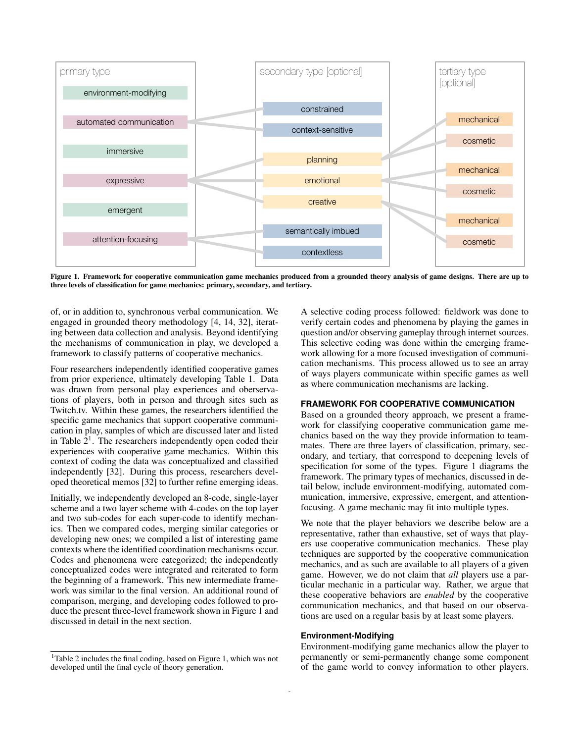

<span id="page-2-1"></span>Figure 1. Framework for cooperative communication game mechanics produced from a grounded theory analysis of game designs. There are up to three levels of classification for game mechanics: primary, secondary, and tertiary.

of, or in addition to, synchronous verbal communication. We engaged in grounded theory methodology [\[4,](#page-8-9) [14,](#page-9-20) [32\]](#page-9-21), iterating between data collection and analysis. Beyond identifying the mechanisms of communication in play, we developed a framework to classify patterns of cooperative mechanics.

Four researchers independently identified cooperative games from prior experience, ultimately developing Table [1.](#page-3-0) Data was drawn from personal play experiences and oberservations of players, both in person and through sites such as Twitch.tv. Within these games, the researchers identified the specific game mechanics that support cooperative communication in play, samples of which are discussed later and listed in Table  $2<sup>1</sup>$  $2<sup>1</sup>$  $2<sup>1</sup>$  $2<sup>1</sup>$ . The researchers independently open coded their experiences with cooperative game mechanics. Within this context of coding the data was conceptualized and classified independently [\[32\]](#page-9-21). During this process, researchers developed theoretical memos [\[32\]](#page-9-21) to further refine emerging ideas.

Initially, we independently developed an 8-code, single-layer scheme and a two layer scheme with 4-codes on the top layer and two sub-codes for each super-code to identify mechanics. Then we compared codes, merging similar categories or developing new ones; we compiled a list of interesting game contexts where the identified coordination mechanisms occur. Codes and phenomena were categorized; the independently conceptualized codes were integrated and reiterated to form the beginning of a framework. This new intermediate framework was similar to the final version. An additional round of comparison, merging, and developing codes followed to produce the present three-level framework shown in Figure [1](#page-2-1) and discussed in detail in the next section.

A selective coding process followed: fieldwork was done to verify certain codes and phenomena by playing the games in question and/or observing gameplay through internet sources. This selective coding was done within the emerging framework allowing for a more focused investigation of communication mechanisms. This process allowed us to see an array of ways players communicate within specific games as well as where communication mechanisms are lacking.

# **FRAMEWORK FOR COOPERATIVE COMMUNICATION**

Based on a grounded theory approach, we present a framework for classifying cooperative communication game mechanics based on the way they provide information to teammates. There are three layers of classification, primary, secondary, and tertiary, that correspond to deepening levels of specification for some of the types. Figure [1](#page-2-1) diagrams the framework. The primary types of mechanics, discussed in detail below, include environment-modifying, automated communication, immersive, expressive, emergent, and attentionfocusing. A game mechanic may fit into multiple types.

We note that the player behaviors we describe below are a representative, rather than exhaustive, set of ways that players use cooperative communication mechanics. These play techniques are supported by the cooperative communication mechanics, and as such are available to all players of a given game. However, we do not claim that *all* players use a particular mechanic in a particular way. Rather, we argue that these cooperative behaviors are *enabled* by the cooperative communication mechanics, and that based on our observations are used on a regular basis by at least some players.

#### **Environment-Modifying**

Environment-modifying game mechanics allow the player to permanently or semi-permanently change some component of the game world to convey information to other players.

<span id="page-2-0"></span> $1$ Table [2](#page-7-0) includes the final coding, based on Figure [1,](#page-2-1) which was not developed until the final cycle of theory generation.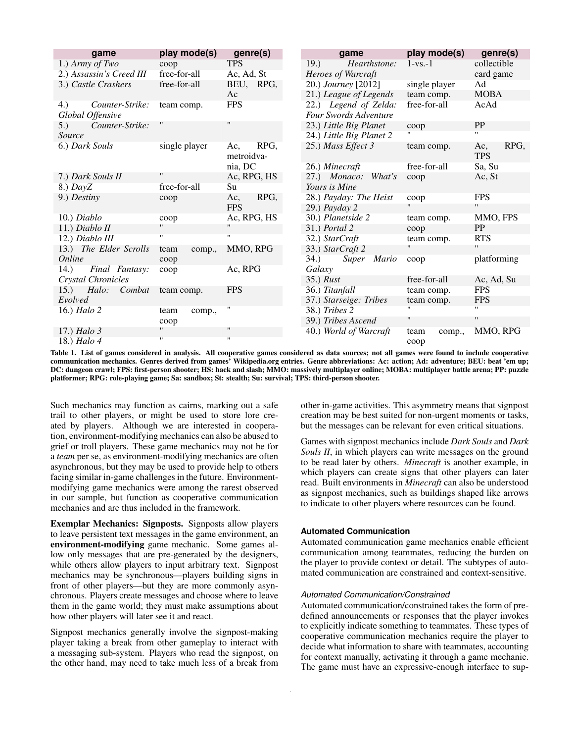| game                     | play mode(s)   | genre(s)                  | game                         | play mode(s)   | genre(s)                  |
|--------------------------|----------------|---------------------------|------------------------------|----------------|---------------------------|
| 1.) Army of $Two$        | $\rm{coop}$    | <b>TPS</b>                | 19.<br>Hearthstone:          | $1$ -vs.-1     | collectible               |
| 2.) Assassin's Creed III | free-for-all   | Ac, Ad, St                | Heroes of Warcraft           |                | card game                 |
| 3.) Castle Crashers      | free-for-all   | BEU, RPG,                 | 20.) Journey [2012]          | single player  | Ad                        |
|                          |                | Ac                        | 21.) League of Legends       | team comp.     | <b>MOBA</b>               |
| Counter-Strike:<br>4.)   | team comp.     | <b>FPS</b>                | 22.) Legend of Zelda:        | free-for-all   | AcAd                      |
| Global Offensive         |                |                           | <b>Four Swords Adventure</b> |                |                           |
| 5.)<br>Counter-Strike:   |                | $^{\prime\prime}$         | 23.) Little Big Planet       | coop           | PP                        |
| Source                   |                |                           | 24.) Little Big Planet 2     |                | $\mathbf{H}$              |
| 6.) Dark Souls           | single player  | RPG,<br>Ac.<br>metroidva- | 25.) Mass Effect 3           | team comp.     | RPG,<br>Ac,<br><b>TPS</b> |
|                          |                | nia, DC                   | 26.) Minecraft               | free-for-all   | Sa, Su                    |
| 7.) Dark Souls II        |                | Ac, RPG, HS               | 27.) Monaco:<br>What's       | coop           | Ac, St                    |
| $8.)$ DayZ               | free-for-all   | Su                        | Yours is Mine                |                |                           |
| 9.) Destiny              | coop           | RPG,<br>Ac,               | 28.) Payday: The Heist       | coop           | <b>FPS</b>                |
|                          |                | <b>FPS</b>                | 29.) Payday 2                |                | $\mathbf{H}$              |
| $10.)$ Diablo            | coop           | Ac, RPG, HS               | 30.) Planetside 2            | team comp.     | MMO, FPS                  |
| 11.) Diablo $II$         |                | "                         | 31.) <i>Portal</i> 2         | coop           | PP                        |
| 12.) Diablo III          | $\mathbf{H}$   | $\mathbf{H}$              | 32.) StarCraft               | team comp.     | <b>RTS</b>                |
| 13.) The Elder Scrolls   | team<br>comp., | MMO, RPG                  | 33.) StarCraft 2             | 11             | 11                        |
| Online                   | coop           |                           | 34.)<br>Super Mario          | coop           | platforming               |
| 14.)<br>Final Fantasy:   | coop           | Ac, RPG                   | Galaxy                       |                |                           |
| Crystal Chronicles       |                |                           | 35.) Rust                    | free-for-all   | Ac, Ad, Su                |
| Halo: Combat<br>15.)     | team comp.     | <b>FPS</b>                | 36.) Titanfall               | team comp.     | <b>FPS</b>                |
| Evolved                  |                |                           | 37.) Starseige: Tribes       | team comp.     | <b>FPS</b>                |
| 16.) Halo 2              | team<br>comp., | $\pmb{\mathsf{H}}$        | 38.) Tribes 2                |                | $\mathbf{H}$              |
|                          | coop           |                           | 39.) Tribes Ascend           | "              | 11                        |
| $17.)$ Halo $3$          | $\blacksquare$ | $^{\prime\prime}$         | 40.) World of Warcraft       | team<br>comp., | MMO, RPG                  |
| 18.) Halo 4              | $\blacksquare$ | $\mathbf{H}$              |                              | coop           |                           |

<span id="page-3-0"></span>Table 1. List of games considered in analysis. All cooperative games considered as data sources; not all games were found to include cooperative communication mechanics. Genres derived from games' Wikipedia.org entries. Genre abbreviations: Ac: action; Ad: adventure; BEU: beat 'em up; DC: dungeon crawl; FPS: first-person shooter; HS: hack and slash; MMO: massively multiplayer online; MOBA: multiplayer battle arena; PP: puzzle platformer; RPG: role-playing game; Sa: sandbox; St: stealth; Su: survival; TPS: third-person shooter.

Such mechanics may function as cairns, marking out a safe trail to other players, or might be used to store lore created by players. Although we are interested in cooperation, environment-modifying mechanics can also be abused to grief or troll players. These game mechanics may not be for a *team* per se, as environment-modifying mechanics are often asynchronous, but they may be used to provide help to others facing similar in-game challenges in the future. Environmentmodifying game mechanics were among the rarest observed in our sample, but function as cooperative communication mechanics and are thus included in the framework.

Exemplar Mechanics: Signposts. Signposts allow players to leave persistent text messages in the game environment, an environment-modifying game mechanic. Some games allow only messages that are pre-generated by the designers, while others allow players to input arbitrary text. Signpost mechanics may be synchronous—players building signs in front of other players—but they are more commonly asynchronous. Players create messages and choose where to leave them in the game world; they must make assumptions about how other players will later see it and react.

Signpost mechanics generally involve the signpost-making player taking a break from other gameplay to interact with a messaging sub-system. Players who read the signpost, on the other hand, may need to take much less of a break from other in-game activities. This asymmetry means that signpost creation may be best suited for non-urgent moments or tasks, but the messages can be relevant for even critical situations.

Games with signpost mechanics include *Dark Souls* and *Dark Souls II*, in which players can write messages on the ground to be read later by others. *Minecraft* is another example, in which players can create signs that other players can later read. Built environments in *Minecraft* can also be understood as signpost mechanics, such as buildings shaped like arrows to indicate to other players where resources can be found.

# **Automated Communication**

Automated communication game mechanics enable efficient communication among teammates, reducing the burden on the player to provide context or detail. The subtypes of automated communication are constrained and context-sensitive.

### *Automated Communication/Constrained*

Automated communication/constrained takes the form of predefined announcements or responses that the player invokes to explicitly indicate something to teammates. These types of cooperative communication mechanics require the player to decide what information to share with teammates, accounting for context manually, activating it through a game mechanic. The game must have an expressive-enough interface to sup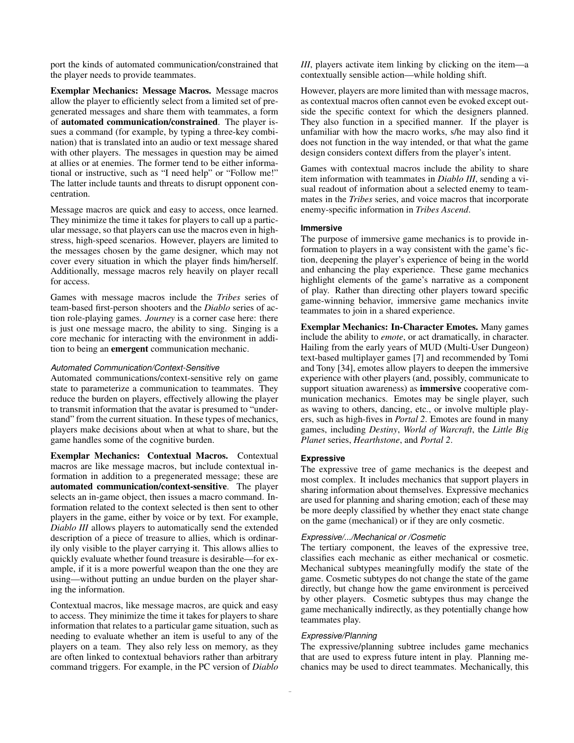port the kinds of automated communication/constrained that the player needs to provide teammates.

Exemplar Mechanics: Message Macros. Message macros allow the player to efficiently select from a limited set of pregenerated messages and share them with teammates, a form of automated communication/constrained. The player issues a command (for example, by typing a three-key combination) that is translated into an audio or text message shared with other players. The messages in question may be aimed at allies or at enemies. The former tend to be either informational or instructive, such as "I need help" or "Follow me!" The latter include taunts and threats to disrupt opponent concentration.

Message macros are quick and easy to access, once learned. They minimize the time it takes for players to call up a particular message, so that players can use the macros even in highstress, high-speed scenarios. However, players are limited to the messages chosen by the game designer, which may not cover every situation in which the player finds him/herself. Additionally, message macros rely heavily on player recall for access.

Games with message macros include the *Tribes* series of team-based first-person shooters and the *Diablo* series of action role-playing games. *Journey* is a corner case here: there is just one message macro, the ability to sing. Singing is a core mechanic for interacting with the environment in addition to being an emergent communication mechanic.

## *Automated Communication/Context-Sensitive*

Automated communications/context-sensitive rely on game state to parameterize a communication to teammates. They reduce the burden on players, effectively allowing the player to transmit information that the avatar is presumed to "understand" from the current situation. In these types of mechanics, players make decisions about when at what to share, but the game handles some of the cognitive burden.

Exemplar Mechanics: Contextual Macros. Contextual macros are like message macros, but include contextual information in addition to a pregenerated message; these are automated communication/context-sensitive. The player selects an in-game object, then issues a macro command. Information related to the context selected is then sent to other players in the game, either by voice or by text. For example, *Diablo III* allows players to automatically send the extended description of a piece of treasure to allies, which is ordinarily only visible to the player carrying it. This allows allies to quickly evaluate whether found treasure is desirable—for example, if it is a more powerful weapon than the one they are using—without putting an undue burden on the player sharing the information.

Contextual macros, like message macros, are quick and easy to access. They minimize the time it takes for players to share information that relates to a particular game situation, such as needing to evaluate whether an item is useful to any of the players on a team. They also rely less on memory, as they are often linked to contextual behaviors rather than arbitrary command triggers. For example, in the PC version of *Diablo*

*III*, players activate item linking by clicking on the item—a contextually sensible action—while holding shift.

However, players are more limited than with message macros, as contextual macros often cannot even be evoked except outside the specific context for which the designers planned. They also function in a specified manner. If the player is unfamiliar with how the macro works, s/he may also find it does not function in the way intended, or that what the game design considers context differs from the player's intent.

Games with contextual macros include the ability to share item information with teammates in *Diablo III*, sending a visual readout of information about a selected enemy to teammates in the *Tribes* series, and voice macros that incorporate enemy-specific information in *Tribes Ascend*.

### **Immersive**

The purpose of immersive game mechanics is to provide information to players in a way consistent with the game's fiction, deepening the player's experience of being in the world and enhancing the play experience. These game mechanics highlight elements of the game's narrative as a component of play. Rather than directing other players toward specific game-winning behavior, immersive game mechanics invite teammates to join in a shared experience.

Exemplar Mechanics: In-Character Emotes. Many games include the ability to *emote*, or act dramatically, in character. Hailing from the early years of MUD (Multi-User Dungeon) text-based multiplayer games [\[7\]](#page-8-10) and recommended by Tomi and Tony [\[34\]](#page-9-14), emotes allow players to deepen the immersive experience with other players (and, possibly, communicate to support situation awareness) as immersive cooperative communication mechanics. Emotes may be single player, such as waving to others, dancing, etc., or involve multiple players, such as high-fives in *Portal 2*. Emotes are found in many games, including *Destiny*, *World of Warcraft*, the *Little Big Planet* series, *Hearthstone*, and *Portal 2*.

# **Expressive**

The expressive tree of game mechanics is the deepest and most complex. It includes mechanics that support players in sharing information about themselves. Expressive mechanics are used for planning and sharing emotion; each of these may be more deeply classified by whether they enact state change on the game (mechanical) or if they are only cosmetic.

# *Expressive/.../Mechanical or /Cosmetic*

The tertiary component, the leaves of the expressive tree, classifies each mechanic as either mechanical or cosmetic. Mechanical subtypes meaningfully modify the state of the game. Cosmetic subtypes do not change the state of the game directly, but change how the game environment is perceived by other players. Cosmetic subtypes thus may change the game mechanically indirectly, as they potentially change how teammates play.

## *Expressive/Planning*

The expressive/planning subtree includes game mechanics that are used to express future intent in play. Planning mechanics may be used to direct teammates. Mechanically, this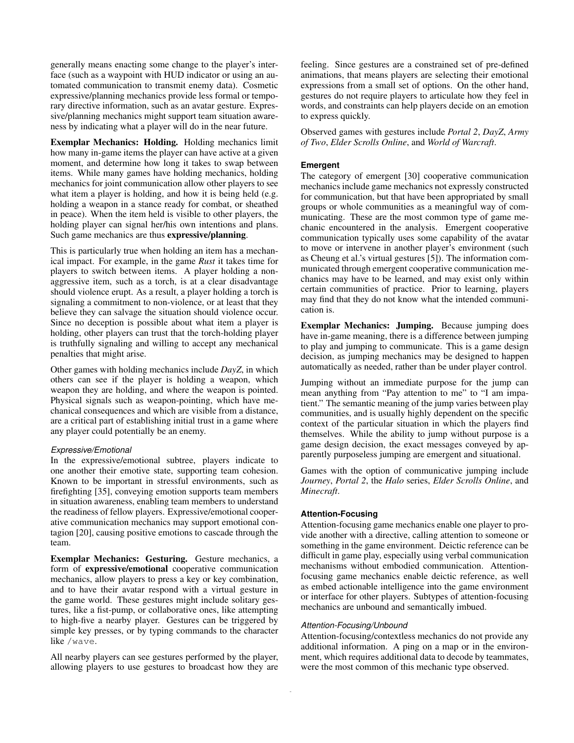generally means enacting some change to the player's interface (such as a waypoint with HUD indicator or using an automated communication to transmit enemy data). Cosmetic expressive/planning mechanics provide less formal or temporary directive information, such as an avatar gesture. Expressive/planning mechanics might support team situation awareness by indicating what a player will do in the near future.

Exemplar Mechanics: Holding. Holding mechanics limit how many in-game items the player can have active at a given moment, and determine how long it takes to swap between items. While many games have holding mechanics, holding mechanics for joint communication allow other players to see what item a player is holding, and how it is being held (e.g. holding a weapon in a stance ready for combat, or sheathed in peace). When the item held is visible to other players, the holding player can signal her/his own intentions and plans. Such game mechanics are thus expressive/planning.

This is particularly true when holding an item has a mechanical impact. For example, in the game *Rust* it takes time for players to switch between items. A player holding a nonaggressive item, such as a torch, is at a clear disadvantage should violence erupt. As a result, a player holding a torch is signaling a commitment to non-violence, or at least that they believe they can salvage the situation should violence occur. Since no deception is possible about what item a player is holding, other players can trust that the torch-holding player is truthfully signaling and willing to accept any mechanical penalties that might arise.

Other games with holding mechanics include *DayZ*, in which others can see if the player is holding a weapon, which weapon they are holding, and where the weapon is pointed. Physical signals such as weapon-pointing, which have mechanical consequences and which are visible from a distance, are a critical part of establishing initial trust in a game where any player could potentially be an enemy.

# *Expressive/Emotional*

In the expressive/emotional subtree, players indicate to one another their emotive state, supporting team cohesion. Known to be important in stressful environments, such as firefighting [\[35\]](#page-9-9), conveying emotion supports team members in situation awareness, enabling team members to understand the readiness of fellow players. Expressive/emotional cooperative communication mechanics may support emotional contagion [\[20\]](#page-9-22), causing positive emotions to cascade through the team.

Exemplar Mechanics: Gesturing. Gesture mechanics, a form of expressive/emotional cooperative communication mechanics, allow players to press a key or key combination, and to have their avatar respond with a virtual gesture in the game world. These gestures might include solitary gestures, like a fist-pump, or collaborative ones, like attempting to high-five a nearby player. Gestures can be triggered by simple key presses, or by typing commands to the character like /wave.

All nearby players can see gestures performed by the player, allowing players to use gestures to broadcast how they are

feeling. Since gestures are a constrained set of pre-defined animations, that means players are selecting their emotional expressions from a small set of options. On the other hand, gestures do not require players to articulate how they feel in words, and constraints can help players decide on an emotion to express quickly.

Observed games with gestures include *Portal 2*, *DayZ*, *Army of Two*, *Elder Scrolls Online*, and *World of Warcraft*.

# **Emergent**

The category of emergent [\[30\]](#page-9-10) cooperative communication mechanics include game mechanics not expressly constructed for communication, but that have been appropriated by small groups or whole communities as a meaningful way of communicating. These are the most common type of game mechanic encountered in the analysis. Emergent cooperative communication typically uses some capability of the avatar to move or intervene in another player's environment (such as Cheung et al.'s virtual gestures [\[5\]](#page-8-0)). The information communicated through emergent cooperative communication mechanics may have to be learned, and may exist only within certain communities of practice. Prior to learning, players may find that they do not know what the intended communication is.

Exemplar Mechanics: Jumping. Because jumping does have in-game meaning, there is a difference between jumping to play and jumping to communicate. This is a game design decision, as jumping mechanics may be designed to happen automatically as needed, rather than be under player control.

Jumping without an immediate purpose for the jump can mean anything from "Pay attention to me" to "I am impatient." The semantic meaning of the jump varies between play communities, and is usually highly dependent on the specific context of the particular situation in which the players find themselves. While the ability to jump without purpose is a game design decision, the exact messages conveyed by apparently purposeless jumping are emergent and situational.

Games with the option of communicative jumping include *Journey*, *Portal 2*, the *Halo* series, *Elder Scrolls Online*, and *Minecraft*.

# **Attention-Focusing**

Attention-focusing game mechanics enable one player to provide another with a directive, calling attention to someone or something in the game environment. Deictic reference can be difficult in game play, especially using verbal communication mechanisms without embodied communication. Attentionfocusing game mechanics enable deictic reference, as well as embed actionable intelligence into the game environment or interface for other players. Subtypes of attention-focusing mechanics are unbound and semantically imbued.

# *Attention-Focusing/Unbound*

Attention-focusing/contextless mechanics do not provide any additional information. A ping on a map or in the environment, which requires additional data to decode by teammates, were the most common of this mechanic type observed.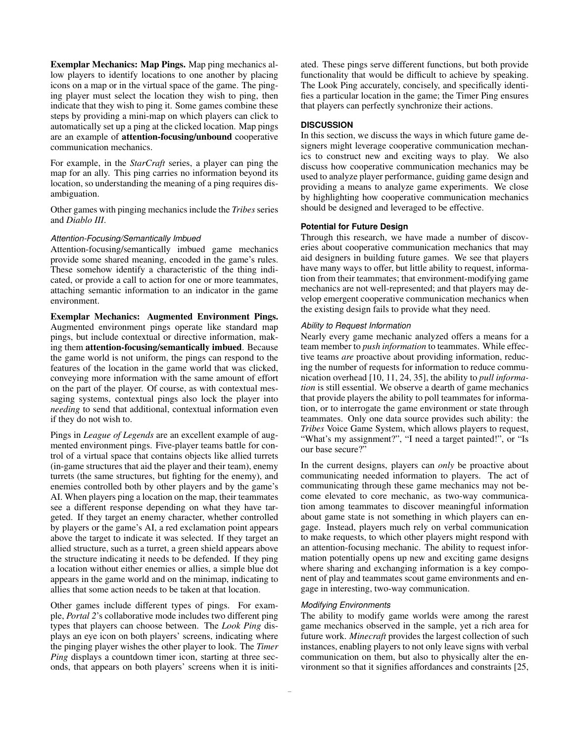Exemplar Mechanics: Map Pings. Map ping mechanics allow players to identify locations to one another by placing icons on a map or in the virtual space of the game. The pinging player must select the location they wish to ping, then indicate that they wish to ping it. Some games combine these steps by providing a mini-map on which players can click to automatically set up a ping at the clicked location. Map pings are an example of attention-focusing/unbound cooperative communication mechanics.

For example, in the *StarCraft* series, a player can ping the map for an ally. This ping carries no information beyond its location, so understanding the meaning of a ping requires disambiguation.

Other games with pinging mechanics include the *Tribes* series and *Diablo III*.

## *Attention-Focusing/Semantically Imbued*

Attention-focusing/semantically imbued game mechanics provide some shared meaning, encoded in the game's rules. These somehow identify a characteristic of the thing indicated, or provide a call to action for one or more teammates, attaching semantic information to an indicator in the game environment.

Exemplar Mechanics: Augmented Environment Pings. Augmented environment pings operate like standard map pings, but include contextual or directive information, making them attention-focusing/semantically imbued. Because the game world is not uniform, the pings can respond to the features of the location in the game world that was clicked, conveying more information with the same amount of effort on the part of the player. Of course, as with contextual messaging systems, contextual pings also lock the player into *needing* to send that additional, contextual information even if they do not wish to.

Pings in *League of Legends* are an excellent example of augmented environment pings. Five-player teams battle for control of a virtual space that contains objects like allied turrets (in-game structures that aid the player and their team), enemy turrets (the same structures, but fighting for the enemy), and enemies controlled both by other players and by the game's AI. When players ping a location on the map, their teammates see a different response depending on what they have targeted. If they target an enemy character, whether controlled by players or the game's AI, a red exclamation point appears above the target to indicate it was selected. If they target an allied structure, such as a turret, a green shield appears above the structure indicating it needs to be defended. If they ping a location without either enemies or allies, a simple blue dot appears in the game world and on the minimap, indicating to allies that some action needs to be taken at that location.

Other games include different types of pings. For example, *Portal 2*'s collaborative mode includes two different ping types that players can choose between. The *Look Ping* displays an eye icon on both players' screens, indicating where the pinging player wishes the other player to look. The *Timer Ping* displays a countdown timer icon, starting at three seconds, that appears on both players' screens when it is initiated. These pings serve different functions, but both provide functionality that would be difficult to achieve by speaking. The Look Ping accurately, concisely, and specifically identifies a particular location in the game; the Timer Ping ensures that players can perfectly synchronize their actions.

## **DISCUSSION**

In this section, we discuss the ways in which future game designers might leverage cooperative communication mechanics to construct new and exciting ways to play. We also discuss how cooperative communication mechanics may be used to analyze player performance, guiding game design and providing a means to analyze game experiments. We close by highlighting how cooperative communication mechanics should be designed and leveraged to be effective.

## **Potential for Future Design**

Through this research, we have made a number of discoveries about cooperative communication mechanics that may aid designers in building future games. We see that players have many ways to offer, but little ability to request, information from their teammates; that environment-modifying game mechanics are not well-represented; and that players may develop emergent cooperative communication mechanics when the existing design fails to provide what they need.

## *Ability to Request Information*

Nearly every game mechanic analyzed offers a means for a team member to *push information* to teammates. While effective teams *are* proactive about providing information, reducing the number of requests for information to reduce communication overhead [\[10,](#page-8-3) [11,](#page-8-4) [24,](#page-9-7) [35\]](#page-9-9), the ability to *pull information* is still essential. We observe a dearth of game mechanics that provide players the ability to poll teammates for information, or to interrogate the game environment or state through teammates. Only one data source provides such ability: the *Tribes* Voice Game System, which allows players to request, "What's my assignment?", "I need a target painted!", or "Is our base secure?"

In the current designs, players can *only* be proactive about communicating needed information to players. The act of communicating through these game mechanics may not become elevated to core mechanic, as two-way communication among teammates to discover meaningful information about game state is not something in which players can engage. Instead, players much rely on verbal communication to make requests, to which other players might respond with an attention-focusing mechanic. The ability to request information potentially opens up new and exciting game designs where sharing and exchanging information is a key component of play and teammates scout game environments and engage in interesting, two-way communication.

## *Modifying Environments*

The ability to modify game worlds were among the rarest game mechanics observed in the sample, yet a rich area for future work. *Minecraft* provides the largest collection of such instances, enabling players to not only leave signs with verbal communication on them, but also to physically alter the environment so that it signifies affordances and constraints [\[25,](#page-9-23)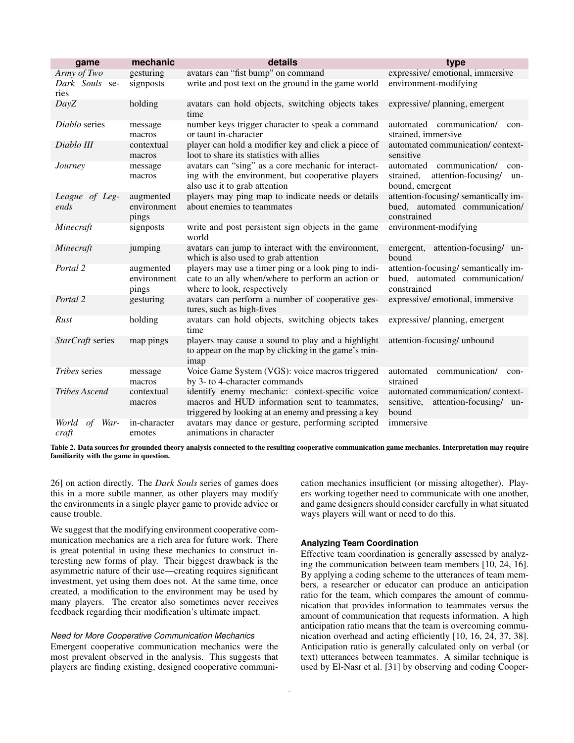| game                                  | mechanic                          | details                                                                                                                                                 | type                                                                                           |
|---------------------------------------|-----------------------------------|---------------------------------------------------------------------------------------------------------------------------------------------------------|------------------------------------------------------------------------------------------------|
| Army of Two<br>Dark Souls se-<br>ries | gesturing<br>signposts            | avatars can "fist bump" on command<br>write and post text on the ground in the game world                                                               | expressive/emotional, immersive<br>environment-modifying                                       |
| DayZ                                  | holding                           | avatars can hold objects, switching objects takes<br>time                                                                                               | expressive/planning, emergent                                                                  |
| Diablo series                         | message<br>macros                 | number keys trigger character to speak a command<br>or taunt in-character                                                                               | automated communication/<br>con-<br>strained, immersive                                        |
| Diablo III                            | contextual<br>macros              | player can hold a modifier key and click a piece of<br>loot to share its statistics with allies                                                         | automated communication/context-<br>sensitive                                                  |
| Journey                               | message<br>macros                 | avatars can "sing" as a core mechanic for interact-<br>ing with the environment, but cooperative players<br>also use it to grab attention               | automated communication/<br>con-<br>attention-focusing/<br>strained,<br>un-<br>bound, emergent |
| League of Leg-<br>ends                | augmented<br>environment<br>pings | players may ping map to indicate needs or details<br>about enemies to teammates                                                                         | attention-focusing/semantically im-<br>bued, automated communication/<br>constrained           |
| Minecraft                             | signposts                         | write and post persistent sign objects in the game<br>world                                                                                             | environment-modifying                                                                          |
| Minecraft                             | jumping                           | avatars can jump to interact with the environment,<br>which is also used to grab attention                                                              | emergent, attention-focusing/ un-<br>bound                                                     |
| Portal 2                              | augmented<br>environment<br>pings | players may use a timer ping or a look ping to indi-<br>cate to an ally when/where to perform an action or<br>where to look, respectively               | attention-focusing/semantically im-<br>bued, automated communication/<br>constrained           |
| Portal 2                              | gesturing                         | avatars can perform a number of cooperative ges-<br>tures, such as high-fives                                                                           | expressive/emotional, immersive                                                                |
| Rust                                  | holding                           | avatars can hold objects, switching objects takes<br>time                                                                                               | expressive/ planning, emergent                                                                 |
| StarCraft series                      | map pings                         | players may cause a sound to play and a highlight<br>to appear on the map by clicking in the game's min-<br>imap                                        | attention-focusing/ unbound                                                                    |
| Tribes series                         | message<br>macros                 | Voice Game System (VGS): voice macros triggered<br>by 3- to 4-character commands                                                                        | communication/<br>automated<br>con-<br>strained                                                |
| Tribes Ascend                         | contextual<br>macros              | identify enemy mechanic: context-specific voice<br>macros and HUD information sent to teammates,<br>triggered by looking at an enemy and pressing a key | automated communication/context-<br>sensitive,<br>attention-focusing/ un-<br>bound             |
| World<br>of<br>War-<br>craft          | in-character<br>emotes            | avatars may dance or gesture, performing scripted<br>animations in character                                                                            | immersive                                                                                      |

<span id="page-7-0"></span>Table 2. Data sources for grounded theory analysis connected to the resulting cooperative communication game mechanics. Interpretation may require familiarity with the game in question.

[26\]](#page-9-24) on action directly. The *Dark Souls* series of games does this in a more subtle manner, as other players may modify the environments in a single player game to provide advice or cause trouble.

We suggest that the modifying environment cooperative communication mechanics are a rich area for future work. There is great potential in using these mechanics to construct interesting new forms of play. Their biggest drawback is the asymmetric nature of their use—creating requires significant investment, yet using them does not. At the same time, once created, a modification to the environment may be used by many players. The creator also sometimes never receives feedback regarding their modification's ultimate impact.

### *Need for More Cooperative Communication Mechanics*

Emergent cooperative communication mechanics were the most prevalent observed in the analysis. This suggests that players are finding existing, designed cooperative communication mechanics insufficient (or missing altogether). Players working together need to communicate with one another, and game designers should consider carefully in what situated ways players will want or need to do this.

# **Analyzing Team Coordination**

Effective team coordination is generally assessed by analyzing the communication between team members [\[10,](#page-8-3) [24,](#page-9-7) [16\]](#page-9-25). By applying a coding scheme to the utterances of team members, a researcher or educator can produce an anticipation ratio for the team, which compares the amount of communication that provides information to teammates versus the amount of communication that requests information. A high anticipation ratio means that the team is overcoming communication overhead and acting efficiently [\[10,](#page-8-3) [16,](#page-9-25) [24,](#page-9-7) [37,](#page-9-19) [38\]](#page-9-26). Anticipation ratio is generally calculated only on verbal (or text) utterances between teammates. A similar technique is used by El-Nasr et al. [\[31\]](#page-9-13) by observing and coding Cooper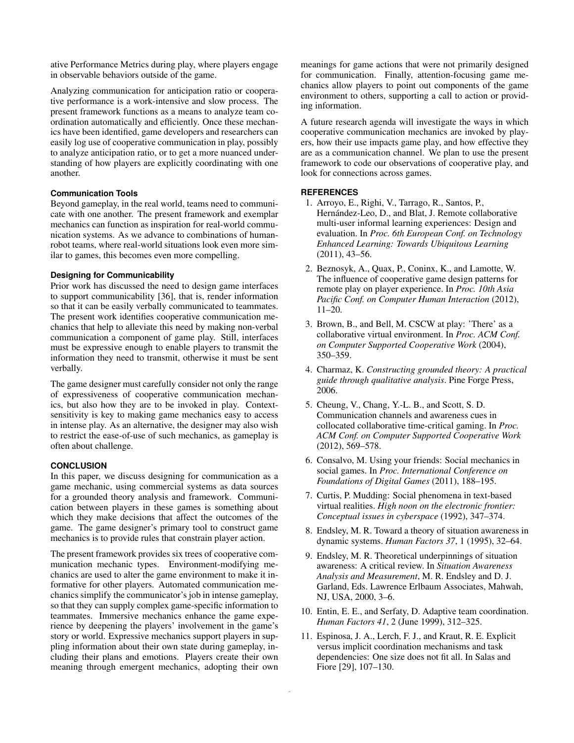ative Performance Metrics during play, where players engage in observable behaviors outside of the game.

Analyzing communication for anticipation ratio or cooperative performance is a work-intensive and slow process. The present framework functions as a means to analyze team coordination automatically and efficiently. Once these mechanics have been identified, game developers and researchers can easily log use of cooperative communication in play, possibly to analyze anticipation ratio, or to get a more nuanced understanding of how players are explicitly coordinating with one another.

## **Communication Tools**

Beyond gameplay, in the real world, teams need to communicate with one another. The present framework and exemplar mechanics can function as inspiration for real-world communication systems. As we advance to combinations of humanrobot teams, where real-world situations look even more similar to games, this becomes even more compelling.

## **Designing for Communicability**

Prior work has discussed the need to design game interfaces to support communicability [\[36\]](#page-9-27), that is, render information so that it can be easily verbally communicated to teammates. The present work identifies cooperative communication mechanics that help to alleviate this need by making non-verbal communication a component of game play. Still, interfaces must be expressive enough to enable players to transmit the information they need to transmit, otherwise it must be sent verbally.

The game designer must carefully consider not only the range of expressiveness of cooperative communication mechanics, but also how they are to be invoked in play. Contextsensitivity is key to making game mechanics easy to access in intense play. As an alternative, the designer may also wish to restrict the ease-of-use of such mechanics, as gameplay is often about challenge.

### **CONCLUSION**

In this paper, we discuss designing for communication as a game mechanic, using commercial systems as data sources for a grounded theory analysis and framework. Communication between players in these games is something about which they make decisions that affect the outcomes of the game. The game designer's primary tool to construct game mechanics is to provide rules that constrain player action.

The present framework provides six trees of cooperative communication mechanic types. Environment-modifying mechanics are used to alter the game environment to make it informative for other players. Automated communication mechanics simplify the communicator's job in intense gameplay, so that they can supply complex game-specific information to teammates. Immersive mechanics enhance the game experience by deepening the players' involvement in the game's story or world. Expressive mechanics support players in suppling information about their own state during gameplay, including their plans and emotions. Players create their own meaning through emergent mechanics, adopting their own

meanings for game actions that were not primarily designed for communication. Finally, attention-focusing game mechanics allow players to point out components of the game environment to others, supporting a call to action or providing information.

A future research agenda will investigate the ways in which cooperative communication mechanics are invoked by players, how their use impacts game play, and how effective they are as a communication channel. We plan to use the present framework to code our observations of cooperative play, and look for connections across games.

## <span id="page-8-7"></span>**REFERENCES**

- 1. Arroyo, E., Righi, V., Tarrago, R., Santos, P., Hernández-Leo, D., and Blat, J. Remote collaborative multi-user informal learning experiences: Design and evaluation. In *Proc. 6th European Conf. on Technology Enhanced Learning: Towards Ubiquitous Learning* (2011), 43–56.
- <span id="page-8-6"></span>2. Beznosyk, A., Quax, P., Coninx, K., and Lamotte, W. The influence of cooperative game design patterns for remote play on player experience. In *Proc. 10th Asia Pacific Conf. on Computer Human Interaction* (2012), 11–20.
- <span id="page-8-8"></span>3. Brown, B., and Bell, M. CSCW at play: 'There' as a collaborative virtual environment. In *Proc. ACM Conf. on Computer Supported Cooperative Work* (2004), 350–359.
- <span id="page-8-9"></span>4. Charmaz, K. *Constructing grounded theory: A practical guide through qualitative analysis*. Pine Forge Press, 2006.
- <span id="page-8-0"></span>5. Cheung, V., Chang, Y.-L. B., and Scott, S. D. Communication channels and awareness cues in collocated collaborative time-critical gaming. In *Proc. ACM Conf. on Computer Supported Cooperative Work* (2012), 569–578.
- <span id="page-8-5"></span>6. Consalvo, M. Using your friends: Social mechanics in social games. In *Proc. International Conference on Foundations of Digital Games* (2011), 188–195.
- <span id="page-8-10"></span>7. Curtis, P. Mudding: Social phenomena in text-based virtual realities. *High noon on the electronic frontier: Conceptual issues in cyberspace* (1992), 347–374.
- <span id="page-8-1"></span>8. Endsley, M. R. Toward a theory of situation awareness in dynamic systems. *Human Factors 37*, 1 (1995), 32–64.
- <span id="page-8-2"></span>9. Endsley, M. R. Theoretical underpinnings of situation awareness: A critical review. In *Situation Awareness Analysis and Measurement*, M. R. Endsley and D. J. Garland, Eds. Lawrence Erlbaum Associates, Mahwah, NJ, USA, 2000, 3–6.
- <span id="page-8-3"></span>10. Entin, E. E., and Serfaty, D. Adaptive team coordination. *Human Factors 41*, 2 (June 1999), 312–325.
- <span id="page-8-4"></span>11. Espinosa, J. A., Lerch, F. J., and Kraut, R. E. Explicit versus implicit coordination mechanisms and task dependencies: One size does not fit all. In Salas and Fiore [\[29\]](#page-9-8), 107–130.